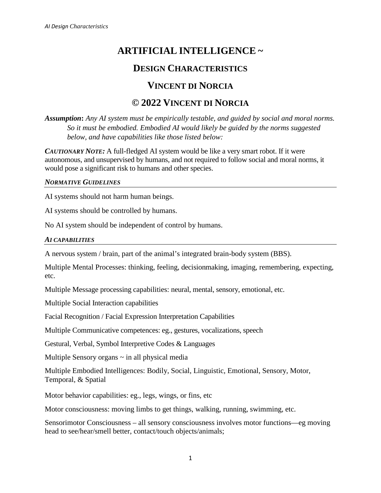# **ARTIFICIAL INTELLIGENCE ~**

### **DESIGN CHARACTERISTICS**

## **VINCENT DI NORCIA**

# **© 2022 VINCENT DI NORCIA**

*Assumption***:** *Any AI system must be empirically testable, and guided by social and moral norms. So it must be embodied. Embodied AI would likely be guided by the norms suggested below, and have capabilities like those listed below:*

*CAUTIONARY NOTE:* A full-fledged AI system would be like a very smart robot. If it were autonomous, and unsupervised by humans, and not required to follow social and moral norms, it would pose a significant risk to humans and other species.

#### *NORMATIVE GUIDELINES*

AI systems should not harm human beings.

AI systems should be controlled by humans.

No AI system should be independent of control by humans.

### *AI CAPABILITIES*

A nervous system / brain, part of the animal's integrated brain-body system (BBS).

Multiple Mental Processes: thinking, feeling, decisionmaking, imaging, remembering, expecting, etc.

Multiple Message processing capabilities: neural, mental, sensory, emotional, etc.

Multiple Social Interaction capabilities

Facial Recognition / Facial Expression Interpretation Capabilities

Multiple Communicative competences: eg., gestures, vocalizations, speech

Gestural, Verbal, Symbol Interpretive Codes & Languages

Multiple Sensory organs  $\sim$  in all physical media

Multiple Embodied Intelligences: Bodily, Social, Linguistic, Emotional, Sensory, Motor, Temporal, & Spatial

Motor behavior capabilities: eg., legs, wings, or fins, etc

Motor consciousness: moving limbs to get things, walking, running, swimming, etc.

Sensorimotor Consciousness – all sensory consciousness involves motor functions—eg moving head to see/hear/smell better, contact/touch objects/animals;